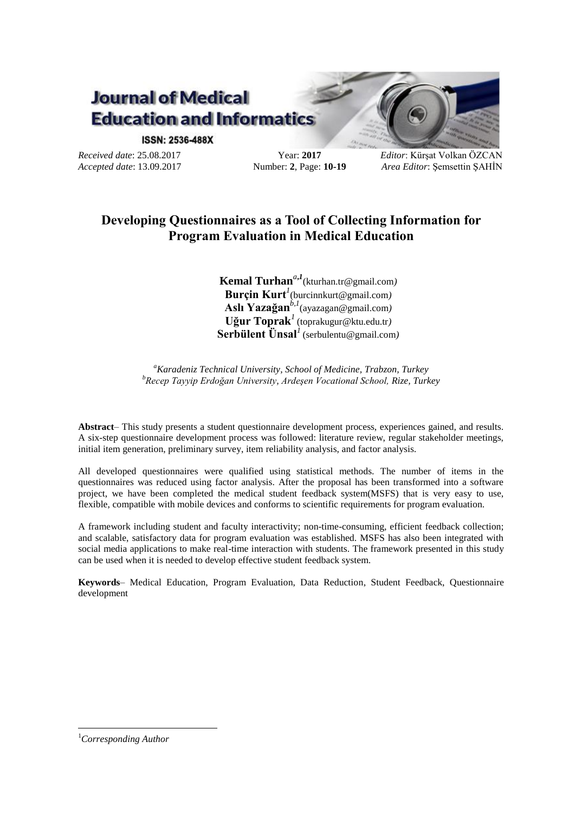

**ISSN: 2536-488X** 

*Received date*: 25.08.2017 *Accepted date*: 13.09.2017

Year: **2017** Number: **2**, Page: **10-19** *Editor*: Kürşat Volkan ÖZCAN *Area Editor*: Şemsettin ŞAHİN

# **Developing Questionnaires as a Tool of Collecting Information for Program Evaluation in Medical Education**

**Kemal Turhan***<sup>a</sup>***,***<sup>1</sup>* (kturhan.tr@gmail.com*)* **Burçin Kurt***<sup>1</sup>* (burcinnkurt@gmail.com*)* **Aslı Yazağan** *b,1*(ayazagan@gmail.com*)* **Uğur Toprak***<sup>1</sup>*(toprakugur@ktu.edu.tr*)* **Serbülent Ünsal***<sup>1</sup>*(serbulentu@gmail.com*)*

*<sup>a</sup>Karadeniz Technical University, School of Medicine, Trabzon, Turkey <sup>b</sup>Recep Tayyip Erdoğan University, Ardeşen Vocational School, Rize, Turkey*

**Abstract***–* This study presents a student questionnaire development process, experiences gained, and results. A six-step questionnaire development process was followed: literature review, regular stakeholder meetings, initial item generation, preliminary survey, item reliability analysis, and factor analysis.

All developed questionnaires were qualified using statistical methods. The number of items in the questionnaires was reduced using factor analysis. After the proposal has been transformed into a software project, we have been completed the medical student feedback system(MSFS) that is very easy to use, flexible, compatible with mobile devices and conforms to scientific requirements for program evaluation.

A framework including student and faculty interactivity; non-time-consuming, efficient feedback collection; and scalable, satisfactory data for program evaluation was established. MSFS has also been integrated with social media applications to make real-time interaction with students. The framework presented in this study can be used when it is needed to develop effective student feedback system.

**Keywords***–* Medical Education, Program Evaluation, Data Reduction, Student Feedback, Questionnaire development

1

<sup>1</sup>*Corresponding Author*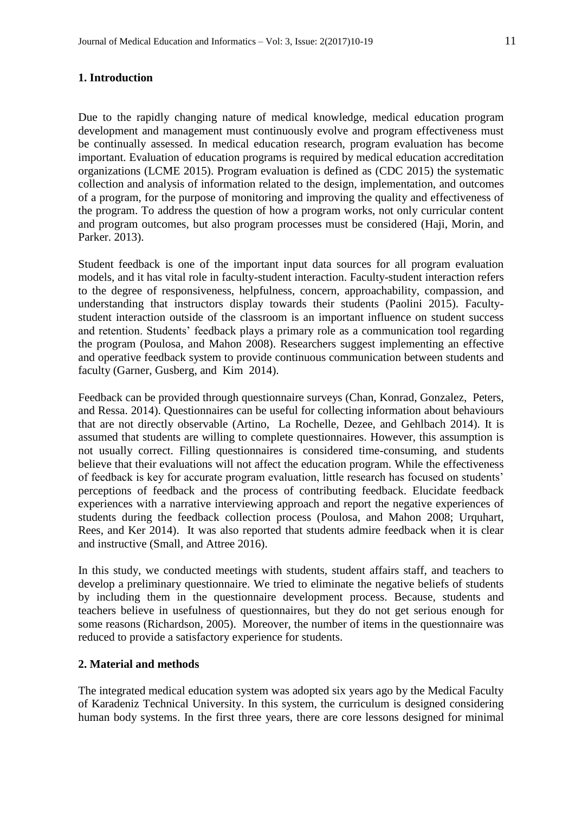### **1. Introduction**

Due to the rapidly changing nature of medical knowledge, medical education program development and management must continuously evolve and program effectiveness must be continually assessed. In medical education research, program evaluation has become important. Evaluation of education programs is required by medical education accreditation organizations (LCME 2015). Program evaluation is defined as (CDC 2015) the systematic collection and analysis of information related to the design, implementation, and outcomes of a program, for the purpose of monitoring and improving the quality and effectiveness of the program. To address the question of how a program works, not only curricular content and program outcomes, but also program processes must be considered (Haji, Morin, and Parker. 2013).

Student feedback is one of the important input data sources for all program evaluation models, and it has vital role in faculty-student interaction. Faculty-student interaction refers to the degree of responsiveness, helpfulness, concern, approachability, compassion, and understanding that instructors display towards their students (Paolini 2015). Facultystudent interaction outside of the classroom is an important influence on student success and retention. Students' feedback plays a primary role as a communication tool regarding the program (Poulosa, and Mahon 2008). Researchers suggest implementing an effective and operative feedback system to provide continuous communication between students and faculty (Garner, Gusberg, and Kim 2014).

Feedback can be provided through questionnaire surveys (Chan, Konrad, Gonzalez, Peters, and Ressa. 2014). Questionnaires can be useful for collecting information about behaviours that are not directly observable (Artino, La Rochelle, Dezee, and Gehlbach 2014). It is assumed that students are willing to complete questionnaires. However, this assumption is not usually correct. Filling questionnaires is considered time-consuming, and students believe that their evaluations will not affect the education program. While the effectiveness of feedback is key for accurate program evaluation, little research has focused on students' perceptions of feedback and the process of contributing feedback. Elucidate feedback experiences with a narrative interviewing approach and report the negative experiences of students during the feedback collection process (Poulosa, and Mahon 2008; Urquhart, Rees, and Ker 2014). It was also reported that students admire feedback when it is clear and instructive (Small, and Attree 2016).

In this study, we conducted meetings with students, student affairs staff, and teachers to develop a preliminary questionnaire. We tried to eliminate the negative beliefs of students by including them in the questionnaire development process. Because, students and teachers believe in usefulness of questionnaires, but they do not get serious enough for some reasons (Richardson, 2005). Moreover, the number of items in the questionnaire was reduced to provide a satisfactory experience for students.

# **2. Material and methods**

The integrated medical education system was adopted six years ago by the Medical Faculty of Karadeniz Technical University. In this system, the curriculum is designed considering human body systems. In the first three years, there are core lessons designed for minimal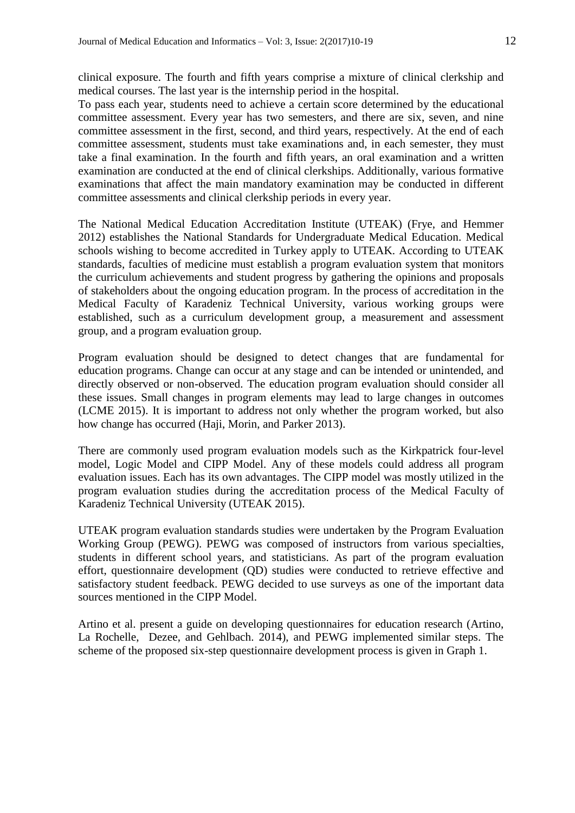clinical exposure. The fourth and fifth years comprise a mixture of clinical clerkship and medical courses. The last year is the internship period in the hospital.

To pass each year, students need to achieve a certain score determined by the educational committee assessment. Every year has two semesters, and there are six, seven, and nine committee assessment in the first, second, and third years, respectively. At the end of each committee assessment, students must take examinations and, in each semester, they must take a final examination. In the fourth and fifth years, an oral examination and a written examination are conducted at the end of clinical clerkships. Additionally, various formative examinations that affect the main mandatory examination may be conducted in different committee assessments and clinical clerkship periods in every year.

The National Medical Education Accreditation Institute (UTEAK) (Frye, and Hemmer 2012) establishes the National Standards for Undergraduate Medical Education. Medical schools wishing to become accredited in Turkey apply to UTEAK. According to UTEAK standards, faculties of medicine must establish a program evaluation system that monitors the curriculum achievements and student progress by gathering the opinions and proposals of stakeholders about the ongoing education program. In the process of accreditation in the Medical Faculty of Karadeniz Technical University, various working groups were established, such as a curriculum development group, a measurement and assessment group, and a program evaluation group.

Program evaluation should be designed to detect changes that are fundamental for education programs. Change can occur at any stage and can be intended or unintended, and directly observed or non-observed. The education program evaluation should consider all these issues. Small changes in program elements may lead to large changes in outcomes (LCME 2015). It is important to address not only whether the program worked, but also how change has occurred (Haji, Morin, and Parker 2013).

There are commonly used program evaluation models such as the Kirkpatrick four-level model, Logic Model and CIPP Model. Any of these models could address all program evaluation issues. Each has its own advantages. The CIPP model was mostly utilized in the program evaluation studies during the accreditation process of the Medical Faculty of Karadeniz Technical University (UTEAK 2015).

UTEAK program evaluation standards studies were undertaken by the Program Evaluation Working Group (PEWG). PEWG was composed of instructors from various specialties, students in different school years, and statisticians. As part of the program evaluation effort, questionnaire development (QD) studies were conducted to retrieve effective and satisfactory student feedback. PEWG decided to use surveys as one of the important data sources mentioned in the CIPP Model.

Artino et al. present a guide on developing questionnaires for education research (Artino, La Rochelle, Dezee, and Gehlbach. 2014), and PEWG implemented similar steps. The scheme of the proposed six-step questionnaire development process is given in Graph 1.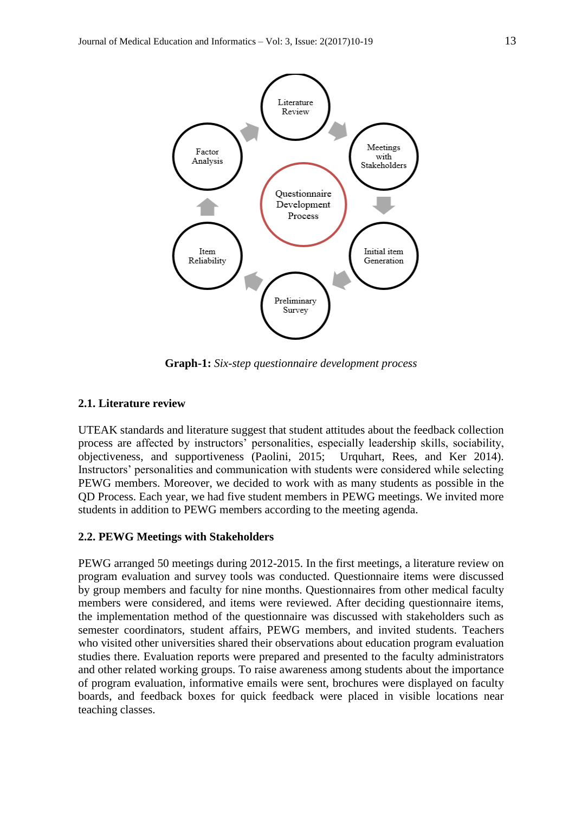

**Graph-1:** *Six-step questionnaire development process*

### **2.1. Literature review**

UTEAK standards and literature suggest that student attitudes about the feedback collection process are affected by instructors' personalities, especially leadership skills, sociability, objectiveness, and supportiveness (Paolini, 2015; Urquhart, Rees, and Ker 2014). Instructors' personalities and communication with students were considered while selecting PEWG members. Moreover, we decided to work with as many students as possible in the QD Process. Each year, we had five student members in PEWG meetings. We invited more students in addition to PEWG members according to the meeting agenda.

#### **2.2. PEWG Meetings with Stakeholders**

PEWG arranged 50 meetings during 2012-2015. In the first meetings, a literature review on program evaluation and survey tools was conducted. Questionnaire items were discussed by group members and faculty for nine months. Questionnaires from other medical faculty members were considered, and items were reviewed. After deciding questionnaire items, the implementation method of the questionnaire was discussed with stakeholders such as semester coordinators, student affairs, PEWG members, and invited students. Teachers who visited other universities shared their observations about education program evaluation studies there. Evaluation reports were prepared and presented to the faculty administrators and other related working groups. To raise awareness among students about the importance of program evaluation, informative emails were sent, brochures were displayed on faculty boards, and feedback boxes for quick feedback were placed in visible locations near teaching classes.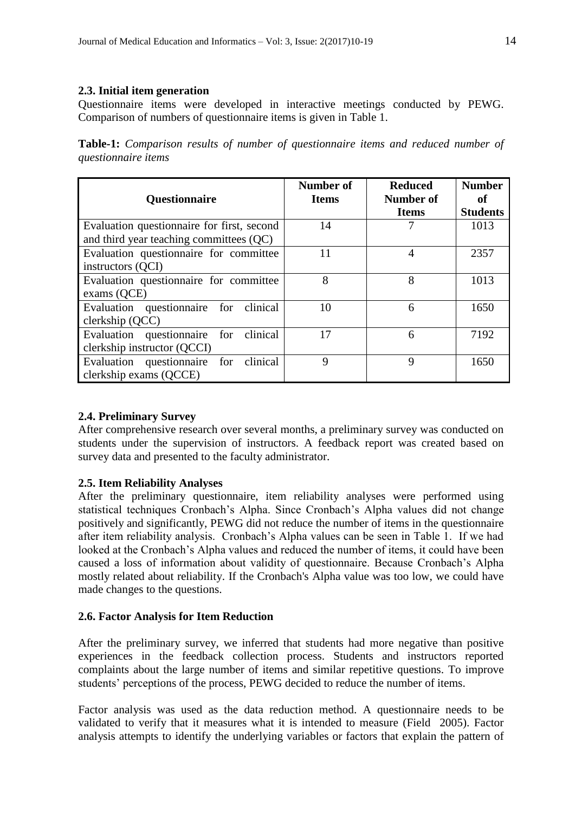# **2.3. Initial item generation**

Questionnaire items were developed in interactive meetings conducted by PEWG. Comparison of numbers of questionnaire items is given in Table 1.

|                            |  |  | <b>Table-1:</b> Comparison results of number of questionnaire items and reduced number of |  |  |  |
|----------------------------|--|--|-------------------------------------------------------------------------------------------|--|--|--|
| <i>questionnaire items</i> |  |  |                                                                                           |  |  |  |

| <b>Questionnaire</b>                                                    | Number of<br><b>Items</b> | <b>Reduced</b><br>Number of<br><b>Items</b> | <b>Number</b><br>of<br><b>Students</b> |
|-------------------------------------------------------------------------|---------------------------|---------------------------------------------|----------------------------------------|
| Evaluation questionnaire for first, second                              | 14                        |                                             | 1013                                   |
| and third year teaching committees (QC)                                 |                           |                                             |                                        |
| Evaluation questionnaire for committee                                  | 11                        | 4                                           | 2357                                   |
| instructors (QCI)                                                       |                           |                                             |                                        |
| Evaluation questionnaire for committee<br>exams(QCE)                    | 8                         | 8                                           | 1013                                   |
| Evaluation questionnaire for clinical<br>clerkship (QCC)                | 10                        | 6                                           | 1650                                   |
| Evaluation questionnaire for<br>clinical<br>clerkship instructor (QCCI) | 17                        | 6                                           | 7192                                   |
| Evaluation questionnaire for clinical<br>clerkship exams (QCCE)         | $\mathbf Q$               | $\mathbf Q$                                 | 1650                                   |

# **2.4. Preliminary Survey**

After comprehensive research over several months, a preliminary survey was conducted on students under the supervision of instructors. A feedback report was created based on survey data and presented to the faculty administrator.

### **2.5. Item Reliability Analyses**

After the preliminary questionnaire, item reliability analyses were performed using statistical techniques Cronbach's Alpha. Since Cronbach's Alpha values did not change positively and significantly, PEWG did not reduce the number of items in the questionnaire after item reliability analysis. Cronbach's Alpha values can be seen in Table 1. If we had looked at the Cronbach's Alpha values and reduced the number of items, it could have been caused a loss of information about validity of questionnaire. Because Cronbach's Alpha mostly related about reliability. If the Cronbach's Alpha value was too low, we could have made changes to the questions.

#### **2.6. Factor Analysis for Item Reduction**

After the preliminary survey, we inferred that students had more negative than positive experiences in the feedback collection process. Students and instructors reported complaints about the large number of items and similar repetitive questions. To improve students' perceptions of the process, PEWG decided to reduce the number of items.

Factor analysis was used as the data reduction method. A questionnaire needs to be validated to verify that it measures what it is intended to measure (Field 2005). Factor analysis attempts to identify the underlying variables or factors that explain the pattern of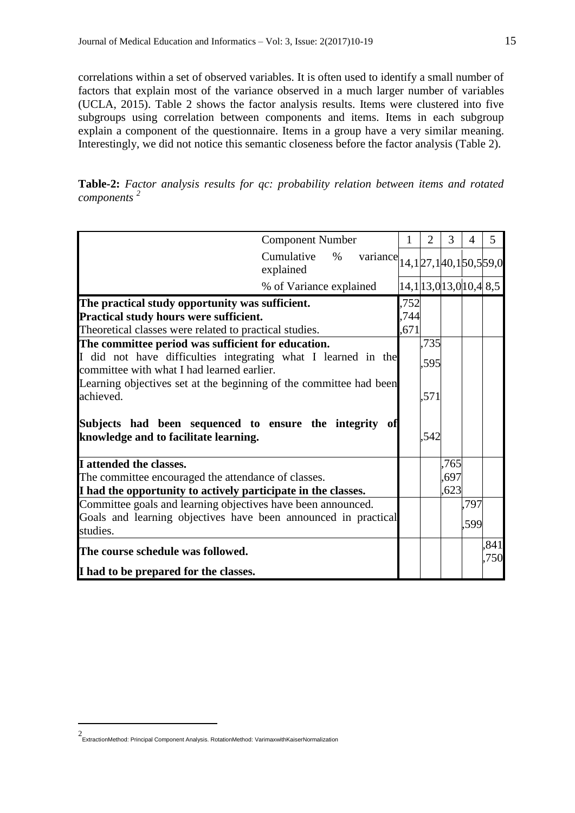correlations within a set of observed variables. It is often used to identify a small number of factors that explain most of the variance observed in a much larger number of variables (UCLA, 2015). Table 2 shows the factor analysis results. Items were clustered into five subgroups using correlation between components and items. Items in each subgroup explain a component of the questionnaire. Items in a group have a very similar meaning. Interestingly, we did not notice this semantic closeness before the factor analysis (Table 2).

**Table-2:** *Factor analysis results for qc: probability relation between items and rotated components <sup>2</sup>*

| <b>Component Number</b>                                                                                     | 1    | 2    | 3    | 4                       | 5            |
|-------------------------------------------------------------------------------------------------------------|------|------|------|-------------------------|--------------|
| Cumulative<br>$\%$<br>variance $ 14,1 27,1 40,1 50,5 59,0 $<br>explained                                    |      |      |      |                         |              |
| % of Variance explained                                                                                     |      |      |      | 14,1 13,0 13,0 10,4 8,5 |              |
| The practical study opportunity was sufficient.                                                             | 752  |      |      |                         |              |
| <b>Practical study hours were sufficient.</b>                                                               | ,744 |      |      |                         |              |
| Theoretical classes were related to practical studies.                                                      | ,671 |      |      |                         |              |
| The committee period was sufficient for education.                                                          |      | ,735 |      |                         |              |
| I did not have difficulties integrating what I learned in the<br>committee with what I had learned earlier. |      | ,595 |      |                         |              |
| Learning objectives set at the beginning of the committee had been<br>achieved.                             |      | ,571 |      |                         |              |
| Subjects had been sequenced to ensure the integrity<br>knowledge and to facilitate learning.                |      | ,542 |      |                         |              |
| I attended the classes.                                                                                     |      |      | .765 |                         |              |
| The committee encouraged the attendance of classes.                                                         |      |      | .697 |                         |              |
| I had the opportunity to actively participate in the classes.                                               |      |      | 623  |                         |              |
| Committee goals and learning objectives have been announced.                                                |      |      |      | ,797                    |              |
| Goals and learning objectives have been announced in practical                                              |      |      |      | ,599                    |              |
| studies.                                                                                                    |      |      |      |                         |              |
| The course schedule was followed.                                                                           |      |      |      |                         | .841<br>.750 |
| I had to be prepared for the classes.                                                                       |      |      |      |                         |              |

1

<sup>2</sup> ExtractionMethod: Principal Component Analysis. RotationMethod: VarimaxwithKaiserNormalization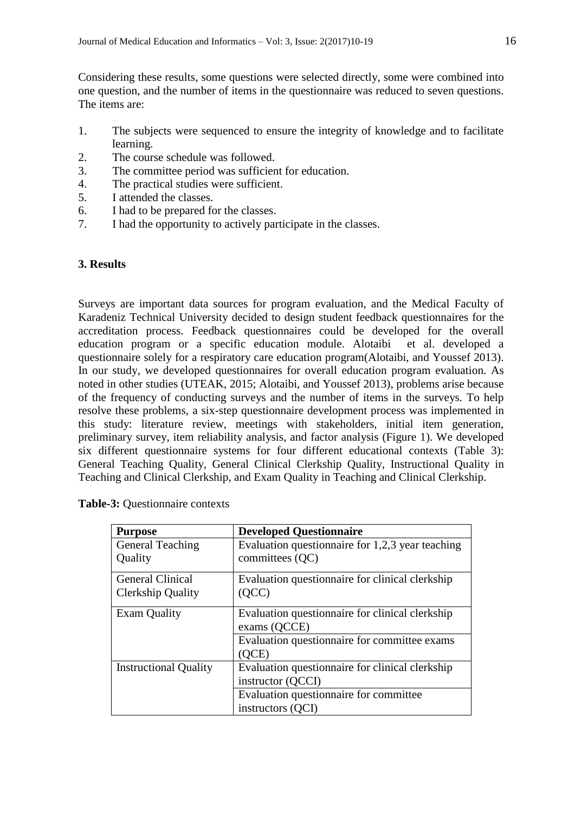Considering these results, some questions were selected directly, some were combined into one question, and the number of items in the questionnaire was reduced to seven questions. The items are:

- 1. The subjects were sequenced to ensure the integrity of knowledge and to facilitate learning.
- 2. The course schedule was followed.
- 3. The committee period was sufficient for education.
- 4. The practical studies were sufficient.
- 5. I attended the classes.
- 6. I had to be prepared for the classes.
- 7. I had the opportunity to actively participate in the classes.

# **3. Results**

Surveys are important data sources for program evaluation, and the Medical Faculty of Karadeniz Technical University decided to design student feedback questionnaires for the accreditation process. Feedback questionnaires could be developed for the overall education program or a specific education module. Alotaibi et al. developed a questionnaire solely for a respiratory care education program(Alotaibi, and Youssef 2013). In our study, we developed questionnaires for overall education program evaluation. As noted in other studies (UTEAK, 2015; Alotaibi, and Youssef 2013), problems arise because of the frequency of conducting surveys and the number of items in the surveys. To help resolve these problems, a six-step questionnaire development process was implemented in this study: literature review, meetings with stakeholders, initial item generation, preliminary survey, item reliability analysis, and factor analysis (Figure 1). We developed six different questionnaire systems for four different educational contexts (Table 3): General Teaching Quality, General Clinical Clerkship Quality, Instructional Quality in Teaching and Clinical Clerkship, and Exam Quality in Teaching and Clinical Clerkship.

| <b>Purpose</b>               | <b>Developed Questionnaire</b>                   |  |  |
|------------------------------|--------------------------------------------------|--|--|
| General Teaching             | Evaluation questionnaire for 1,2,3 year teaching |  |  |
| Quality                      | committees (QC)                                  |  |  |
| <b>General Clinical</b>      | Evaluation questionnaire for clinical clerkship  |  |  |
| Clerkship Quality            | (QCC)                                            |  |  |
| <b>Exam Quality</b>          | Evaluation questionnaire for clinical clerkship  |  |  |
|                              | exams (QCCE)                                     |  |  |
|                              | Evaluation questionnaire for committee exams     |  |  |
|                              | OCE)                                             |  |  |
| <b>Instructional Quality</b> | Evaluation questionnaire for clinical clerkship  |  |  |
|                              | instructor (QCCI)                                |  |  |
|                              | Evaluation questionnaire for committee           |  |  |
|                              | instructors (QCI)                                |  |  |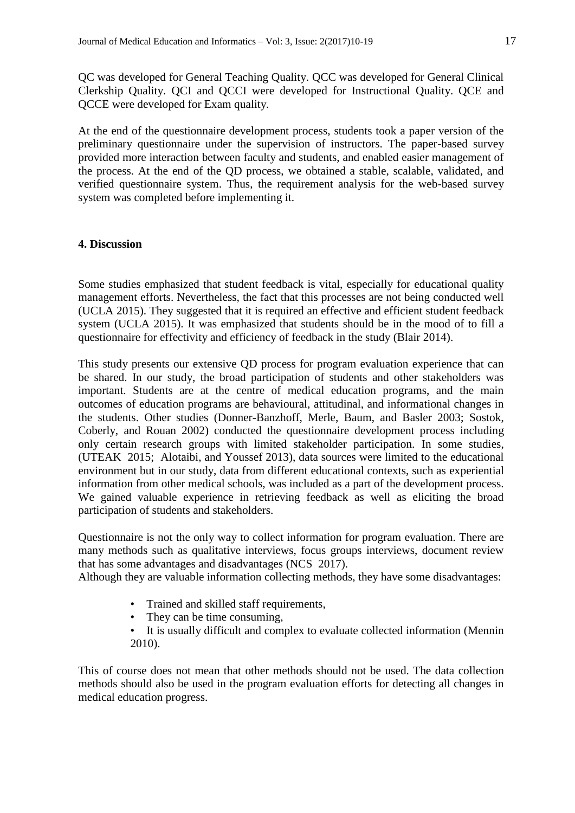QC was developed for General Teaching Quality. QCC was developed for General Clinical Clerkship Quality. QCI and QCCI were developed for Instructional Quality. QCE and QCCE were developed for Exam quality.

At the end of the questionnaire development process, students took a paper version of the preliminary questionnaire under the supervision of instructors. The paper-based survey provided more interaction between faculty and students, and enabled easier management of the process. At the end of the QD process, we obtained a stable, scalable, validated, and verified questionnaire system. Thus, the requirement analysis for the web-based survey system was completed before implementing it.

# **4. Discussion**

Some studies emphasized that student feedback is vital, especially for educational quality management efforts. Nevertheless, the fact that this processes are not being conducted well (UCLA 2015). They suggested that it is required an effective and efficient student feedback system (UCLA 2015). It was emphasized that students should be in the mood of to fill a questionnaire for effectivity and efficiency of feedback in the study (Blair 2014).

This study presents our extensive QD process for program evaluation experience that can be shared. In our study, the broad participation of students and other stakeholders was important. Students are at the centre of medical education programs, and the main outcomes of education programs are behavioural, attitudinal, and informational changes in the students. Other studies (Donner-Banzhoff, Merle, Baum, and Basler 2003; Sostok, Coberly, and Rouan 2002) conducted the questionnaire development process including only certain research groups with limited stakeholder participation. In some studies, (UTEAK 2015; Alotaibi, and Youssef 2013), data sources were limited to the educational environment but in our study, data from different educational contexts, such as experiential information from other medical schools, was included as a part of the development process. We gained valuable experience in retrieving feedback as well as eliciting the broad participation of students and stakeholders.

Questionnaire is not the only way to collect information for program evaluation. There are many methods such as qualitative interviews, focus groups interviews, document review that has some advantages and disadvantages (NCS 2017).

Although they are valuable information collecting methods, they have some disadvantages:

- Trained and skilled staff requirements,
- They can be time consuming,
- It is usually difficult and complex to evaluate collected information (Mennin 2010).

This of course does not mean that other methods should not be used. The data collection methods should also be used in the program evaluation efforts for detecting all changes in medical education progress.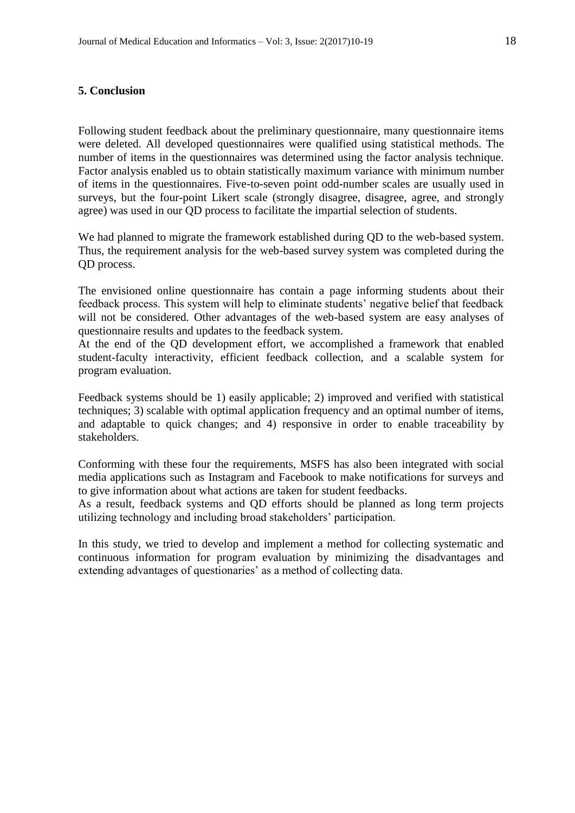# **5. Conclusion**

Following student feedback about the preliminary questionnaire, many questionnaire items were deleted. All developed questionnaires were qualified using statistical methods. The number of items in the questionnaires was determined using the factor analysis technique. Factor analysis enabled us to obtain statistically maximum variance with minimum number of items in the questionnaires. Five-to-seven point odd-number scales are usually used in surveys, but the four-point Likert scale (strongly disagree, disagree, agree, and strongly agree) was used in our QD process to facilitate the impartial selection of students.

We had planned to migrate the framework established during QD to the web-based system. Thus, the requirement analysis for the web-based survey system was completed during the QD process.

The envisioned online questionnaire has contain a page informing students about their feedback process. This system will help to eliminate students' negative belief that feedback will not be considered. Other advantages of the web-based system are easy analyses of questionnaire results and updates to the feedback system.

At the end of the QD development effort, we accomplished a framework that enabled student-faculty interactivity, efficient feedback collection, and a scalable system for program evaluation.

Feedback systems should be 1) easily applicable; 2) improved and verified with statistical techniques; 3) scalable with optimal application frequency and an optimal number of items, and adaptable to quick changes; and 4) responsive in order to enable traceability by stakeholders.

Conforming with these four the requirements, MSFS has also been integrated with social media applications such as Instagram and Facebook to make notifications for surveys and to give information about what actions are taken for student feedbacks.

As a result, feedback systems and QD efforts should be planned as long term projects utilizing technology and including broad stakeholders' participation.

In this study, we tried to develop and implement a method for collecting systematic and continuous information for program evaluation by minimizing the disadvantages and extending advantages of questionaries' as a method of collecting data.